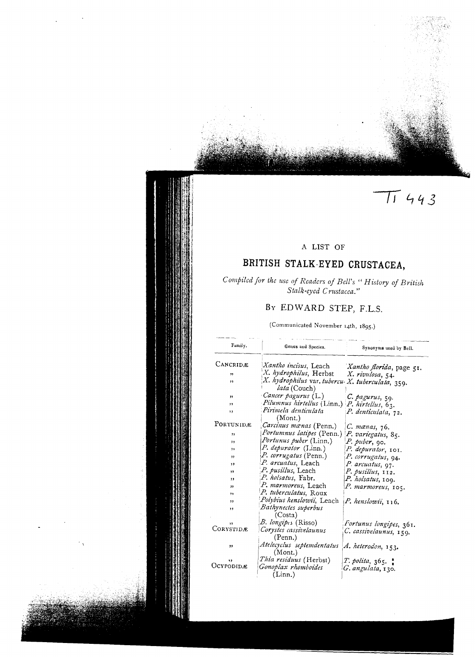# $\pi$ 443

#### A LIST OF

## BRITISH STALK-EYED CRUSTACEA,

#### Compiled for the use of Readers of Bell's "History of British Stalk-eyed Crustacea."

### BY EDWARD STEP, F.L.S.

(Communicated November 14th, 1895.)

| Family.   | Genus and Species.                                               | Synonyms used by Bell.   |
|-----------|------------------------------------------------------------------|--------------------------|
| CANCRIDÆ  | Xantho incisus, Leach                                            | Xantho florida, page 51. |
| "         | X. hydrophilus, Herbst                                           | X. rivulosa, 54.         |
| ,,        | X. hydrophilus var. tubercu X. tuberculata, 359.<br>lata (Couch) |                          |
| ,,        | Cancer pagurus (L.)                                              | C. pagurus, 59.          |
| ,,        | Pilumnus hirtellus (Linn.) P. hirtellus, 63.                     |                          |
| ,,        | Pirimela denticulata<br>(Mont.)                                  | P. denticulata, 72.      |
| PORTUNIDÆ | Carcinus manas (Penn.)                                           | C. mænas, 76.            |
| ,,        | Portumnus latipes (Penn.) P. variegatus, 85.                     |                          |
| , 1       | Portunus puber (Linn.)                                           | P. puber, 90.            |
| ,,        | P. depurator (Linn.)                                             | P. depurator, 101.       |
| ,,        | P. corrugatus (Penn.)                                            | P. corrugatus, 94.       |
| ,,        | P. arcuatus, Leach                                               | P. arcuatus, 97.         |
| ,,        | P. pusillus, Leach                                               | P. pusillus, 112.        |
| ,,        | P. holsatus, Fabr.                                               | P. holsatus, 109.        |
|           | P. marmoreus, Leach                                              | P. marmoreus, 105.       |
| ,,        | P. tuberculatus, Roux                                            |                          |
| ,,        | Polybius henslowii, Leach                                        | P. henslowii, 116.       |
| ,,        | Bathynectes superbus<br>(Costa)                                  |                          |
| ,,        | B. longipes (Risso)                                              | Fortunus longipes, 361.  |
| CORYSTIDE | Corystes cassivelaunus<br>(Penn.)                                | C. cassivelaunus, 159.   |
| ,,        | Atelecyclus septemdentatus<br>(Mont.)                            | A. heterodon, 153.       |
| ,,        | <i>Thia residuus</i> (Herbst)                                    | $T.$ polita, $365.$      |
| UCYPODIDÆ | Gonoplax rhomboides<br>(Linn.)                                   | G. angulata, 130.        |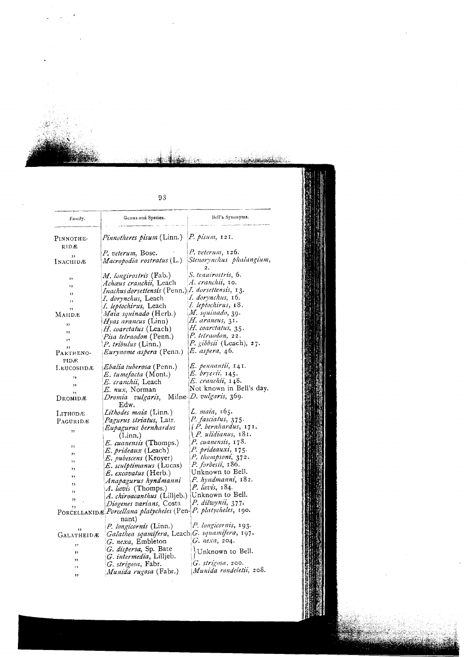| Family.        | Genus and Species.                                | Bell's Synonyms.           |
|----------------|---------------------------------------------------|----------------------------|
| Pinnothe-      | <i>Pinnotheres pisum</i> (Linn.)                  | $P.$ pisum, 121.           |
| RIDÆ           |                                                   |                            |
|                | P. veterum, Bosc.                                 | $P.$ veterum, $126.$       |
| ,,<br>Inachidæ | Macropodia rostratus (L.)                         | Stenorynchus phalangium,   |
|                | <i>M. longirostris</i> (Fab.)                     | S. tenuirostris, 6.        |
| ,,             | Achaus cranchii, Leach                            | A. cranchii, 10.           |
| ۰,             | Inachus dorsettensis (Penn.) I. dorsettensis, 13. |                            |
| ,,             | I. dorynchus, Leach                               | I. dorynchus, 16.          |
| $, \,$         | I. leptochirus, Leach                             | I. leptochirus, 18.        |
| ,,             | Maia squinado (Herb.)                             | M. squinado, 39.           |
| Mahd.e         | <i>Hyas arancus</i> (Linn)                        | H. araneus, 31.            |
| ,,             |                                                   | H. coarctatus, 35.         |
| ,,             | H. coarctatus (Leach)                             | P. tetraodon, 22.          |
| ,,             | Pisa tetraodon (Penn.)                            |                            |
| ,,             | P. tribulus (Linn.)                               | P. gibbsii (Leach), 27.    |
| PARTHENO-      | Eurynome aspera (Penn.)                           | E. aspera, 46.             |
| PIDÆ           |                                                   |                            |
| LEUCOSIIDÆ     | <i>Ebalia tuberosa</i> (Penn.)                    | E. pennantii, 141.         |
| ٠,             | E. tumefacta (Mont.)                              | E. bryerii, 145.           |
| 11             | <i>E. cranchii</i> , Leach                        | <i>E. cranchii,</i> 148.   |
| ,,             | E. nux, Norman                                    | Not known in Bell's day.   |
| Dromidæ        | Dromia vulgaris, Milne-D. vulgaris, 369.<br>Edw.  |                            |
| Ілтнорж        | Lithodes maia (Linn.)                             | L. maia, 165.              |
| PAGURIDÆ       | Pagurus striatus, Latr.                           | P. fasciatus, 375.         |
|                | Eupagurus bernhardus                              | $(P.$ bernhardus, $171.$   |
| ,              | (Linn.)                                           | <i>(P. ulidianus, 181.</i> |
|                | E. cuanensis (Thomps.)                            | P. cuanensis, 178.         |
| ,,             | E. prideaux (Leach)                               | P. prideauxi, 175.         |
| ,,             |                                                   | P. thompsoni, 372.         |
| ,,             | E. pubescens (Kroyer)                             | P. forbesii, 186.          |
| ,,             | E. sculptimanus (Lucas)                           | Unknown to Bell.           |
| ,,             | <i>E. excavatus</i> (Herb.)                       | P. hyndmanni, 182.         |
| ,,             | Anapagurus hyndmanni                              |                            |
| ,,             | A. lævis (Thomps.)                                | P. lævis, 184.             |
| "              | A. chiroacanthus (Lilljeb.)                       | Unknown to Bell.           |
| ,,             | Diogenes varians, Costa                           | P. dilwynii, 377.          |
|                | PORCELLANIDÆ Porcellana platycheles (Pen-         | P. platycheles, 190.       |
|                | nant)                                             |                            |
| ,,             | <i>P. longicornis</i> (Linn.)                     | P. longicornis, 193.       |
| GALATHEIDÆ     | Galathea sqamifera, Leach G. squamifera, 197.     |                            |
| ,,             | G. nexa, Embleton                                 | G. nexa, 204.              |
| ,,             | G. dispersa, Sp. Bate                             | Unknown to Bell.           |
|                | G. intermedia, Lilljeb.                           |                            |
| ,,             | G. strigosa, Fabr.                                | $G.$ strigosa, 200.        |
| ٠,             | Munida rugosa (Fabr.)                             | Munida rondeletii, 208.    |
| "              |                                                   |                            |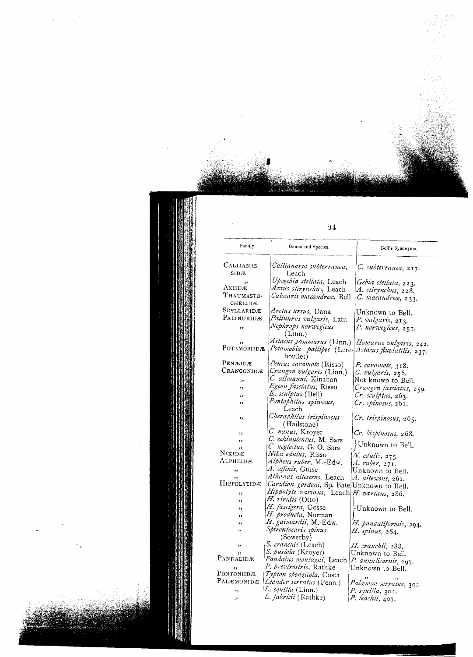| Family.          | Genus and Species.                                 | Bell's Synonyms.                                          |
|------------------|----------------------------------------------------|-----------------------------------------------------------|
| CALLIANAS-       | Callianassa subterranea,                           | C. subterranea, 217.                                      |
| SIDÆ             | Leach                                              |                                                           |
| ,,               | Upogebia stellata, Leach                           | Gebia stellata, 223.                                      |
| Axiidæ           | Axius stirynchus, Leach                            | A. stirynchus, 228.                                       |
| Thaumasto-       | Calocaris macandreæ, Bell                          | C. macandrea, 233.                                        |
| CHELIDÆ          |                                                    |                                                           |
| SCYLLARIDÆ       | Arctus ursus, Dana                                 | Unknown to Bell.                                          |
| PALINURIDÆ       | Palinurus vulgaris, Latr.                          | P. vulgaris, 213.                                         |
| ,,               | Nephrops norwegicus                                | P. norwegicus, 251.                                       |
|                  | (L <sub>1</sub> )                                  |                                                           |
| ,,               |                                                    | Astacus gammarus (Linn.)  Homarus vulg <b>aris</b> , 242. |
| POTAMOBIIDÆ      | Potamobia pallipes (Lere-Astacus fluviatilis, 237. |                                                           |
|                  | boullet)                                           |                                                           |
| PENÆIDÆ          | Peneus caramote (Risso)                            | P. caramote, 318.                                         |
| Crangonidæ       | Crangon vulgaris (Linn.)                           | C. vulgaris, 256.                                         |
| ,,               | C. allmanni, Kinahan                               | Not known to Bell.                                        |
| ,,               | Egeon fasciatus, Risso                             | Crangon fasciatus, 259.                                   |
| ,,               | E. sculptus (Bell)                                 | Cr. sculptus, 263.                                        |
| ,,               | Pontophilus spinosus,                              | Cr. spinosus, 261.                                        |
|                  | Leach                                              |                                                           |
| ,,               | Cheraphilus trispinosus                            | Cr. trispinosus, 265.                                     |
|                  | (Hailstone)                                        |                                                           |
| ,,               | C. nanus, Kroyer                                   | Cr. bispinosus, 268.                                      |
| ,,               | C. echinulentus, M. Sars                           |                                                           |
| , ,              | C. neglectus, G. O. Sars                           | Unknown to Bell.                                          |
| Nikidæ           | Nika edulus, Risso                                 | N. edulis, 275.                                           |
| Alpheidæ         | Alpheus ruber, M.-Edw.                             | A. ruber, 271.                                            |
| ,,               | A. affinis, Guise                                  | Unknown to Bell.                                          |
| ,,               | Athanas nitescens, Leach                           | A. nitescens, 261.                                        |
| HIPPOLYTIDÆ      | Caridion gordoni, Sp. Bate Unknown to Bell.        |                                                           |
| ,,               | Hippolyte varians, Leach H. varians, 286.          |                                                           |
| ,,               | H. viridis (Otto)                                  |                                                           |
| ,,               | H. fascigera, Gosse                                | Unknown to Bell.                                          |
| ,,               | H. producta, Norman                                |                                                           |
| ,,               | H. gaimardii, M.-Edw.                              |                                                           |
| ,,               | Spirontocaris spinus                               | H. pandaliformis, 294.                                    |
|                  | (Sowerby)                                          | H. spinus, 284.                                           |
| ,,               | S. cranchii (Leach)                                |                                                           |
| ,,               | S. pusiola (Kroyer)                                | H. cranchii, 288.                                         |
| PANDALIDÆ        | Pandalus montagui, Leach                           | Unknown to Bell.                                          |
|                  | P. brevirostris, Rathke                            | P. annulicornis, 297.                                     |
| ,,<br>Pontoniidæ | Typton spongicola, Costa                           | Unknown to Bell.                                          |
| PALÆMONIDÆ       | Leander scrratus (Penn.)                           |                                                           |
|                  | L. squilla (Linn.)                                 | Palæmon serratus, 302.                                    |
| , 1              |                                                    | P. squilla, 302.                                          |
| ,                | L. fabricii (Rathke)                               | P. leachii, 407.                                          |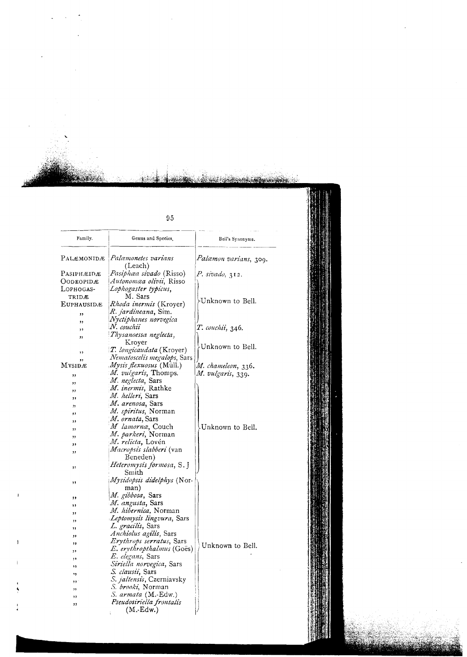| Family.            | Genus and Species.                | Bell's Synonyms.              |
|--------------------|-----------------------------------|-------------------------------|
| Palæmonidæ         | Palæmonetes varians<br>(Leach)    | <i>Palæmon varians, 3</i> 09. |
| Pasiphæidæ         | Pasiphæa sivado (Risso)           | P. sivado, 312.               |
| Oodeopidæ          | <i>Autonomæa olivii</i> , Risso   |                               |
| LOPHOGAS-          | Lophogaster typicus,              |                               |
| TRIDÆ              | M. Sars                           |                               |
| <b>EUPHAUSID</b> Æ | Rhoda inermis (Kroyer)            | Unknown to Bell.              |
|                    | <i>R. jardineana</i> , Sim.       |                               |
| ,,                 | Nyctiphanes norvegica             |                               |
| ,,                 | N. couchii                        | T. couchii, 346.              |
| ,,                 | Thysanoessa neglecta,             |                               |
| ,,                 | Kroyer                            |                               |
|                    | T. longicaudata (Kroyer)          | Unknown to Bell.              |
| ,,                 | Nematoscelis megalops, Sars       |                               |
| ,,<br>Mysidæ       | <i>Mysis flexuosus</i> (Müll.)    | M. chameleon, 336.            |
|                    | M. vulgaris, Thomps.              | M. vulgaris, 339.             |
| ,,                 | M. neglecta, Sars                 |                               |
| ,,                 | M. inermis, Rathke                |                               |
| ,,                 | M. helleri, Sars                  |                               |
| ,,                 | M. arenosa, Sars                  |                               |
| "                  | M. spiritus, Norman               |                               |
| ,,                 | <i>M. ornata</i> , Sars           |                               |
| ,,                 | M lamorna, Couch                  | Unknown to Bell.              |
| ,,                 | M. parkeri, Norman                |                               |
| ,,                 | M. relicta, Lovén                 |                               |
| ,,                 | <i>Macropsis slabberi</i> (van    |                               |
| ,,                 | Beneden)                          |                               |
|                    | Heteromysis formosa, S. J         |                               |
| ,,                 | Smith                             |                               |
|                    | Mysidopsis didelphys (Nor-        |                               |
| ,,                 | man)                              |                               |
|                    | M. gibbosa, Sars                  |                               |
| ,,                 | M. angusta, Sars                  |                               |
| ,,                 | <i>M. hibernica</i> , Norman      |                               |
| ,,                 | <i>Leptomysis lingvura</i> , Sars |                               |
| ,,                 | L. gracilis, Sars                 |                               |
| ,,                 | Anchiolus agilis, Sars            |                               |
| ,,                 | <i>Erythrops serratus</i> , Sars  |                               |
| ,,                 | E. erythropthalmus (Goes)         | Unknown to Bell.              |
| ,,                 | E. elegans, Sars                  |                               |
| ,,                 | <i>Siriella norvegica</i> , Sars  |                               |
|                    | S. clausii, Sars                  |                               |
| ,,                 | <i>S. jaltensis</i> , Czerniavsky |                               |
| ,,                 | S. brooki, Norman                 |                               |
| ,,                 | <i>S. armata</i> (M. Edw.)        |                               |
| ,,                 | Pseudosiriella frontalis          |                               |
| ,,                 | (M.-Edw.)                         |                               |
|                    |                                   |                               |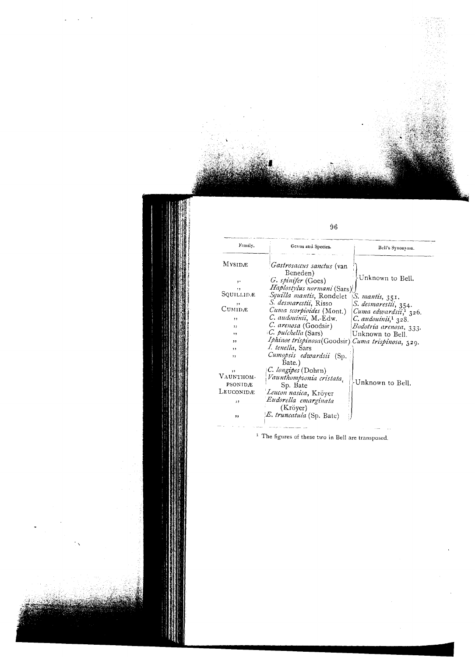| Family.             | Genus and Species.                                 | Bell's Synonyms.                  |
|---------------------|----------------------------------------------------|-----------------------------------|
| MYSIDÆ              | Gastrosaccus sanctus (van<br>Beneden)              |                                   |
| ,                   | G. spinifer (Goes)                                 | Unknown to Bell.                  |
| ,,                  | <i>Haplostylus normani</i> (Sars)                  |                                   |
| Squillidæ           | Squilla mantis, Rondelet   S. mantis, 351.         |                                   |
| ,,                  | S. desmarestii, Risso                              | S. desmarestii, 354.              |
| $C$ <i>UMID</i> $E$ | Cuma scorpioides (Mont.)                           | Cuma edwardsii, <sup>1</sup> 326. |
| , ,                 | C. audouinii, M.-Edw.                              | $C.$ audouinii, $1, 328$ .        |
| $\mathbf{1}$        | C. arenosa (Goodsir)                               | Bodotria arenosa, 333.            |
| ,,                  | C. <i>pulchella</i> (Sars)                         | Unknown to Bell.                  |
| $, \,$              | Iphinoe trispinosa (Goodsir) Cuma trispinosa, 329. |                                   |
| ,,                  | I. tenella, Sars                                   |                                   |
| ,,                  | Cumopsis edwardsii (Sp.<br>Bate.)                  |                                   |
| ,,                  | C. longipes (Dohrn)                                |                                   |
| VAUNTHOM-           | Vaunthompsonia cristata,                           |                                   |
| PSONIDÆ             | Sp. Bate                                           | Unknown to Bell.                  |
| Leuconidæ           | Leucon nasica, Kröyer                              |                                   |
| ,,                  | Eudorella emarginata                               |                                   |
| , ,                 | (Kröyer)<br>E. truncatula (Sp. Bate)               |                                   |

<sup>1</sup> The figures of these two in Bell are transposed.

 $\sim$   $\sim$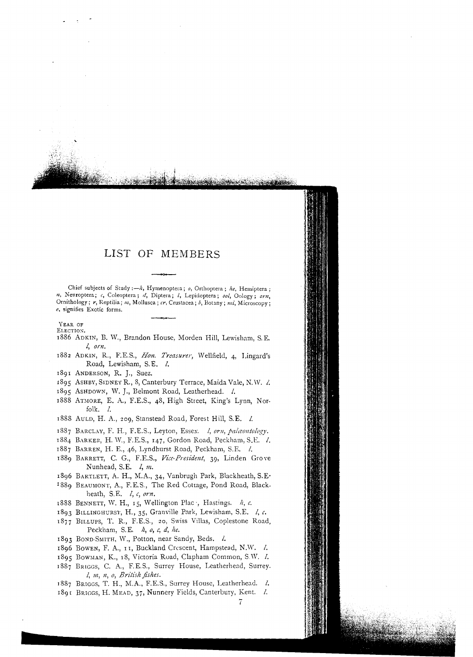#### LIST OF MEMBERS

Chief subjects of Study :-  $h$ , Hymenoptera ;  $o$ , Orthoptera ;  $he$ , Hemiptera ; n, Neuroptera; c, Coleoptera; d, Diptera; l, Lepidoptera; ool. Oology: orn. Ornithology; r, Reptilia; m, Mollusca; cr, Crustacea; b, Botany; mi, Microscopy; e, signifies Exotic forms.

YEAR OF

ELECTION.

- 1886 ADKIN, B. W., Brandon House, Morden Hill, Lewisham, S.E.  $l$ ,  $orn$ ,
- 1882 ADKIN, R., F.E.S., Hon. Treasurer, Wellfield, 4, Lingard's Road, Lewisham, S.E. l.
- 1891 ANDERSON, R. J., Suez.
- 1895 ASHBY, SIDNEY R., 8, Canterbury Terrace, Maida Vale, N.W. 2.
- 1895 ASHDOWN, W. J., Belmont Road, Leatherhead. l.
- 1888 ATMORE, E. A., F.E.S., 48, High Street, King's Lynn, Norfolk.  $\iota$ .
- 1888 AULD, H. A., 209, Stanstead Road, Forest Hill, S.E. *l*.
- 1887 BARCLAY, F. H., F.E.S., Leyton, Essex. *l, orn, palæontology*.
- 1884 BARKER, H. W., F.E.S., 147, Gordon Road, Peckham, S.E. 1.
- 1887 BARREN, H. E., 46, Lyndhurst Road, Peckham, S.E. l.
- 1889 BARRETT, C. G., F.E.S., Vice-President, 39, Linden Grove Nunhead, S.E. I, m.
- 1896 BARTLETT, A. H., M.A., 34, Vanbrugh Park, Blackheath, S.E.
- 1889 BEAUMONT, A., F.E.S., The Red Cottage, Pond Road, Blackheath, S.E.  $\lambda$ , c, orn.
- 1888 BENNETT, W. H., 15, Wellington Plac , Hastings.  $h$ , c.
- 1893 BILLINGHURST, H., 35, Granville Park, Lewisham, S.E. I, c.
- 1877 BILLUPS, T. R., F.E.S., 20, Swiss Villas, Coplestone Road, Peckham, S.E. h, o, c, d, he.
- 1893 BOND-SMITH, W., Potton, near Sandy, Beds. l.
- 1896 BOWEN, F. A., II, Buckland Crescent, Hampstead, N.W. l.
- 1895 BOWMAN, K., 18, Victoria Road, Clapham Common, S.W. Z.
- 1887 BRIGGS, C. A., F.E.S., Surrey House, Leatherhead, Surrey. l, m, n, o, British fishes.
- 1887 BRIGGS, T. H., M.A., F.E.S., Surrey House, Leatherhead. l.
- 1891 BRIGGS, H. MEAD, 37, Nunnery Fields, Canterbury, Kent. l.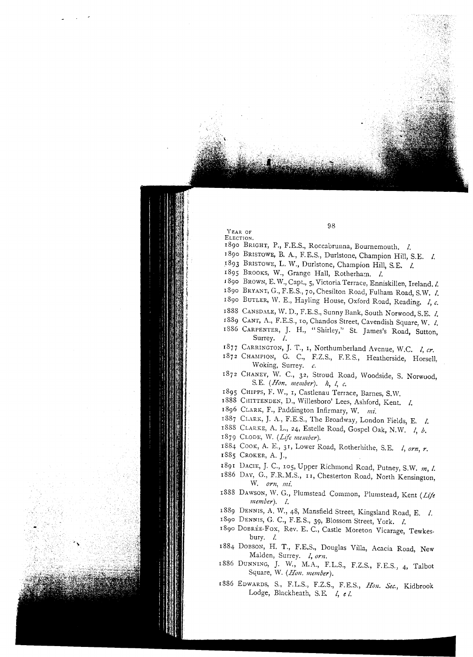YEAR OF

- ELECTION.
- 1890 BRIGHT, P., F.E.S., Roccaorunna, Bournemouth. *I.*
- ]890 BRISTOWE,B. A., F.E.S., Durlstone, Champion Hill, S.E. *I.*
- 1893 BRISTOWE,L. W., Durlstone, Champion Hill, S.E. *I.*
- 1895 BROOKS, W., Grange Hall, Rotherham. *I.*
- 189° BROWN,E. W., Capt., 5, Victoria Terrace, Enniskillen, Ireland. *l.*
- 1890 BRYANT,G., F.E.S., 70, Chesilton Road, Fulham Road, S.W. *I.*
- 189° BUTLER, W. E., Hayling House, Oxford Road, Reading. *I, c.*
- 1888 CANSDALE,W. D., F.E.S., Sunny Bank, South Norwood, S.E. *I.*
- 1889 CANT, A., F.E.S., 10, Chandos Street, Cavendish Square, W. *I.*
- 1886 CARPENTER, J. H., "Shirley," St. James's Road, Sutton, Surrey. *I.*
- 1877 CARRINGTON,J. *T.,* I, Northumberland Avenue, W.C. *I, cr.*
- 1872 CHAMPION, G. c., F.Z.S., F.E.S., Heatherside, Horsell, Woking, Surrey. *c.*
- 1872 CHANEY, W. c., 32, Stroud Road, Woodside, S. Norwood, S.E. *(Hon. member). /z, I, c.*
- 1895 CHIPPS, F. W., 1, Castlenau Terrace, Barnes, S.W.
- 1888 CHITTENDEN, D., Willesboro' Lees, Ashford, Kent. *I.*
- 1896 CLARK, F., Padding ton Infirmary, W. *mi.*
- 1887 CLARK, J. A., F.E.S., The Broadway, London Fields, E. *I.*
- 1888 CLARKE, A. L., 24, Estelle Road, Gospel Oak, N.W. *I, b.*
- 1879 CLaDE, W. *(Life member).*
- 1884 COOK, A. E., 3 I, Lower Road, Rotherhithe, S.E. *I, orn, r.*
- 1885 CROKER, A. J.,
- 1891 DACrE, J. c., 1°5, Upper Richmond Road, Putney, S.W. *In, I.*
- 1886 DAY, G., F.R.M.S., I I, Chesterton Road, North Kensington, vV. *orn, mi.*
- 1888 DAWSON, W. G., Plumstead Common, Plumstead, Kent (Life *member). I.*
- 1889 DENNIS, A. \Y., 48, Mansfield Street, Kingsland Road, E. *I.*
- 189° DENNIS, G. C., F.E.S., 39, Blossom Street, York. *I.*
- 1890 DOBRÉE-FOX, Rev. E. C., Castle Moreton Vicarage, Tewkesbury. *l.*
- 1884 DOBSON, H. T., F.E.S., Douglas Villa, Acacia Road, New Malden, Surrey. *I, orn.*
- 1886 DUNNING, J. W., M.A., F.L.S., F.Z.S., F.E.S., 4, Talbot Square, W. (Hon. member).
- 1886 EDWARDS, S., F.L.S., F.Z.S., F.E.S., *HOll. Sec.,* Kidbrook Lodge, Blackheath, S.E.  $1$ , el.